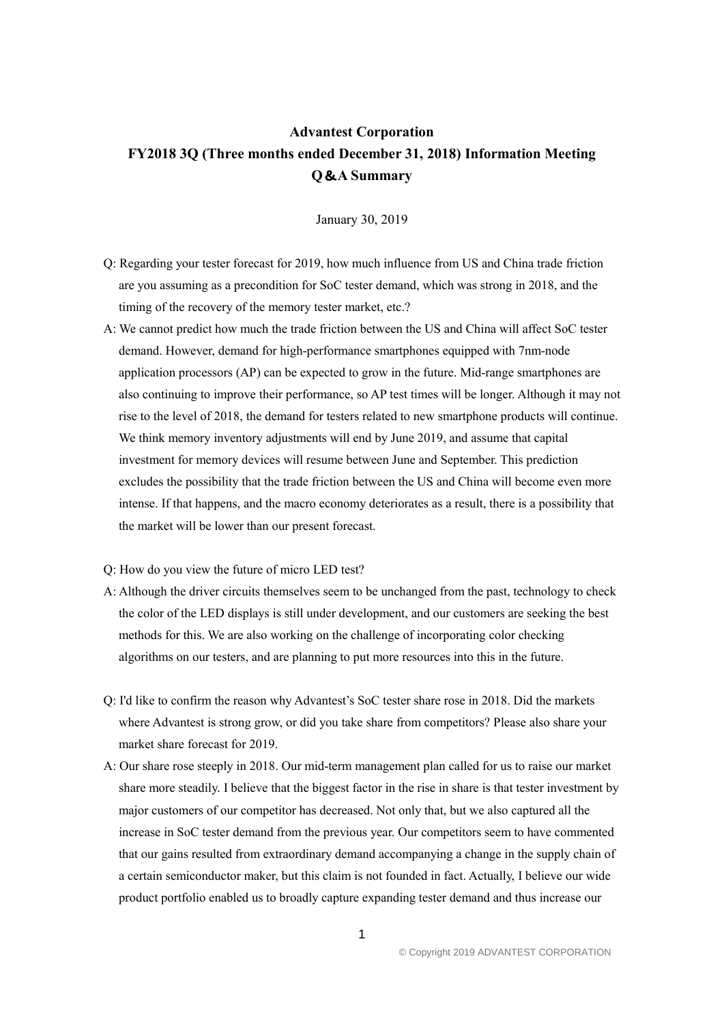## **Advantest Corporation FY2018 3Q (Three months ended December 31, 2018) Information Meeting Q**&**A Summary**

January 30, 2019

- Q: Regarding your tester forecast for 2019, how much influence from US and China trade friction are you assuming as a precondition for SoC tester demand, which was strong in 2018, and the timing of the recovery of the memory tester market, etc.?
- A: We cannot predict how much the trade friction between the US and China will affect SoC tester demand. However, demand for high-performance smartphones equipped with 7nm-node application processors (AP) can be expected to grow in the future. Mid-range smartphones are also continuing to improve their performance, so AP test times will be longer. Although it may not rise to the level of 2018, the demand for testers related to new smartphone products will continue. We think memory inventory adjustments will end by June 2019, and assume that capital investment for memory devices will resume between June and September. This prediction excludes the possibility that the trade friction between the US and China will become even more intense. If that happens, and the macro economy deteriorates as a result, there is a possibility that the market will be lower than our present forecast.

## Q: How do you view the future of micro LED test?

- A: Although the driver circuits themselves seem to be unchanged from the past, technology to check the color of the LED displays is still under development, and our customers are seeking the best methods for this. We are also working on the challenge of incorporating color checking algorithms on our testers, and are planning to put more resources into this in the future.
- Q: I'd like to confirm the reason why Advantest's SoC tester share rose in 2018. Did the markets where Advantest is strong grow, or did you take share from competitors? Please also share your market share forecast for 2019.
- A: Our share rose steeply in 2018. Our mid-term management plan called for us to raise our market share more steadily. I believe that the biggest factor in the rise in share is that tester investment by major customers of our competitor has decreased. Not only that, but we also captured all the increase in SoC tester demand from the previous year. Our competitors seem to have commented that our gains resulted from extraordinary demand accompanying a change in the supply chain of a certain semiconductor maker, but this claim is not founded in fact. Actually, I believe our wide product portfolio enabled us to broadly capture expanding tester demand and thus increase our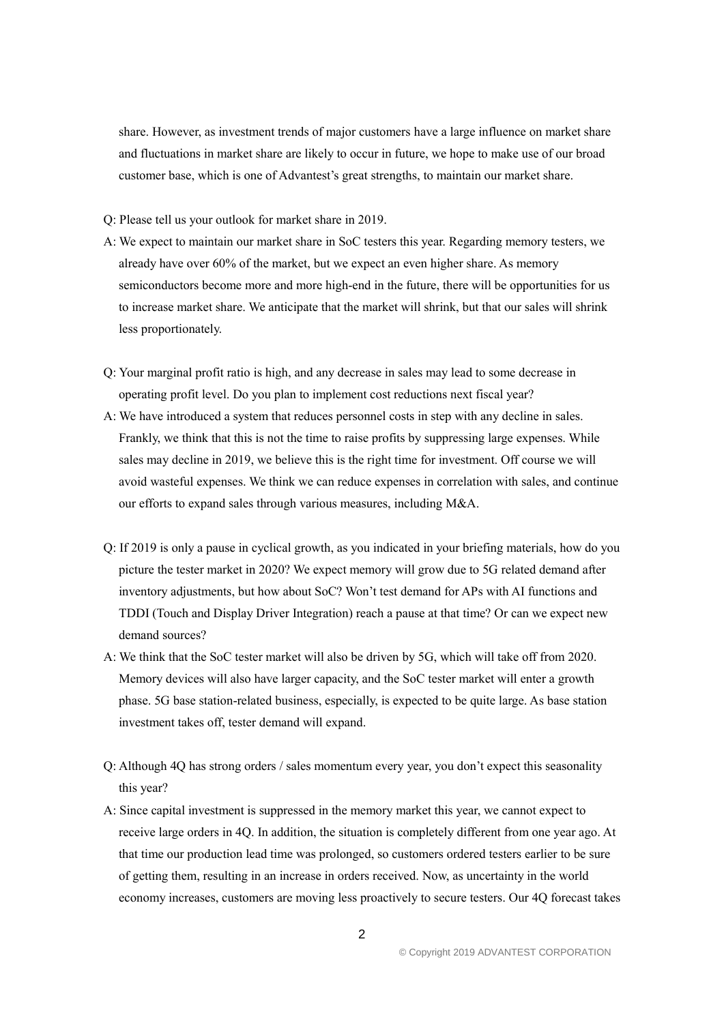share. However, as investment trends of major customers have a large influence on market share and fluctuations in market share are likely to occur in future, we hope to make use of our broad customer base, which is one of Advantest's great strengths, to maintain our market share.

Q: Please tell us your outlook for market share in 2019.

- A: We expect to maintain our market share in SoC testers this year. Regarding memory testers, we already have over 60% of the market, but we expect an even higher share. As memory semiconductors become more and more high-end in the future, there will be opportunities for us to increase market share. We anticipate that the market will shrink, but that our sales will shrink less proportionately.
- Q: Your marginal profit ratio is high, and any decrease in sales may lead to some decrease in operating profit level. Do you plan to implement cost reductions next fiscal year?
- A: We have introduced a system that reduces personnel costs in step with any decline in sales. Frankly, we think that this is not the time to raise profits by suppressing large expenses. While sales may decline in 2019, we believe this is the right time for investment. Off course we will avoid wasteful expenses. We think we can reduce expenses in correlation with sales, and continue our efforts to expand sales through various measures, including M&A.
- Q: If 2019 is only a pause in cyclical growth, as you indicated in your briefing materials, how do you picture the tester market in 2020? We expect memory will grow due to 5G related demand after inventory adjustments, but how about SoC? Won't test demand for APs with AI functions and TDDI (Touch and Display Driver Integration) reach a pause at that time? Or can we expect new demand sources?
- A: We think that the SoC tester market will also be driven by 5G, which will take off from 2020. Memory devices will also have larger capacity, and the SoC tester market will enter a growth phase. 5G base station-related business, especially, is expected to be quite large. As base station investment takes off, tester demand will expand.
- Q: Although 4Q has strong orders / sales momentum every year, you don't expect this seasonality this year?
- A: Since capital investment is suppressed in the memory market this year, we cannot expect to receive large orders in 4Q. In addition, the situation is completely different from one year ago. At that time our production lead time was prolonged, so customers ordered testers earlier to be sure of getting them, resulting in an increase in orders received. Now, as uncertainty in the world economy increases, customers are moving less proactively to secure testers. Our 4Q forecast takes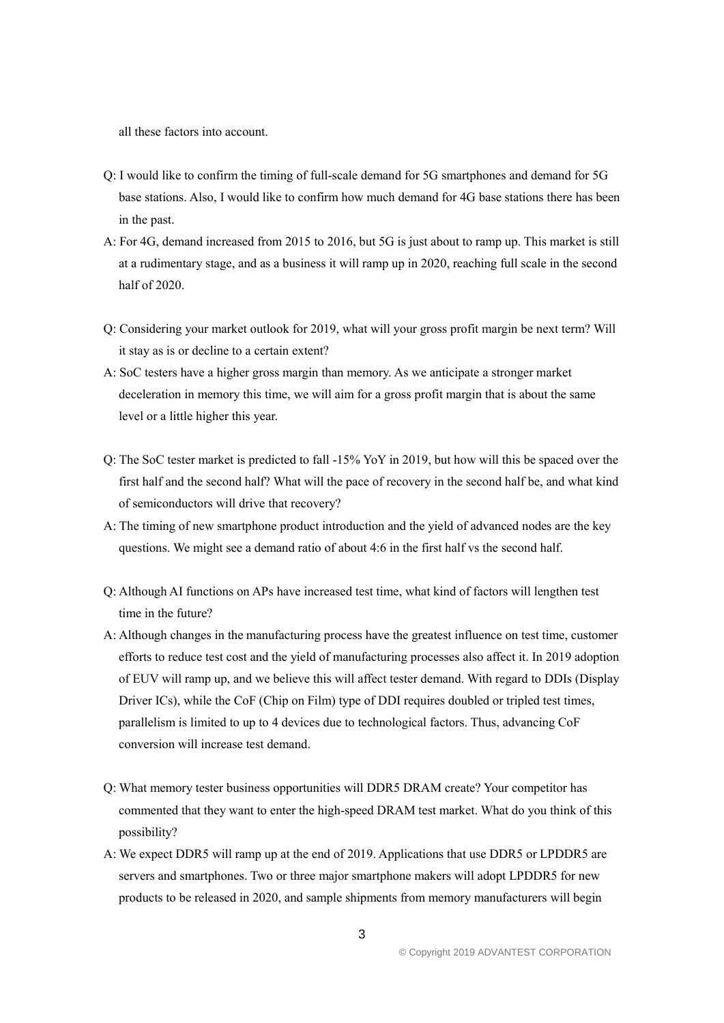all these factors into account.

- Q: I would like to confirm the timing of full-scale demand for 5G smartphones and demand for 5G base stations. Also, I would like to confirm how much demand for 4G base stations there has been in the past.
- A: For 4G, demand increased from 2015 to 2016, but 5G is just about to ramp up. This market is still at a rudimentary stage, and as a business it will ramp up in 2020, reaching full scale in the second half of 2020.
- Q: Considering your market outlook for 2019, what will your gross profit margin be next term? Will it stay as is or decline to a certain extent?
- A: SoC testers have a higher gross margin than memory. As we anticipate a stronger market deceleration in memory this time, we will aim for a gross profit margin that is about the same level or a little higher this year.
- Q: The SoC tester market is predicted to fall -15% YoY in 2019, but how will this be spaced over the first half and the second half? What will the pace of recovery in the second half be, and what kind of semiconductors will drive that recovery?
- A: The timing of new smartphone product introduction and the yield of advanced nodes are the key questions. We might see a demand ratio of about 4:6 in the first half vs the second half.
- Q: Although AI functions on APs have increased test time, what kind of factors will lengthen test time in the future?
- A: Although changes in the manufacturing process have the greatest influence on test time, customer efforts to reduce test cost and the yield of manufacturing processes also affect it. In 2019 adoption of EUV will ramp up, and we believe this will affect tester demand. With regard to DDIs (Display Driver ICs), while the CoF (Chip on Film) type of DDI requires doubled or tripled test times, parallelism is limited to up to 4 devices due to technological factors. Thus, advancing CoF conversion will increase test demand.
- Q: What memory tester business opportunities will DDR5 DRAM create? Your competitor has commented that they want to enter the high-speed DRAM test market. What do you think of this possibility?
- A: We expect DDR5 will ramp up at the end of 2019. Applications that use DDR5 or LPDDR5 are servers and smartphones. Two or three major smartphone makers will adopt LPDDR5 for new products to be released in 2020, and sample shipments from memory manufacturers will begin